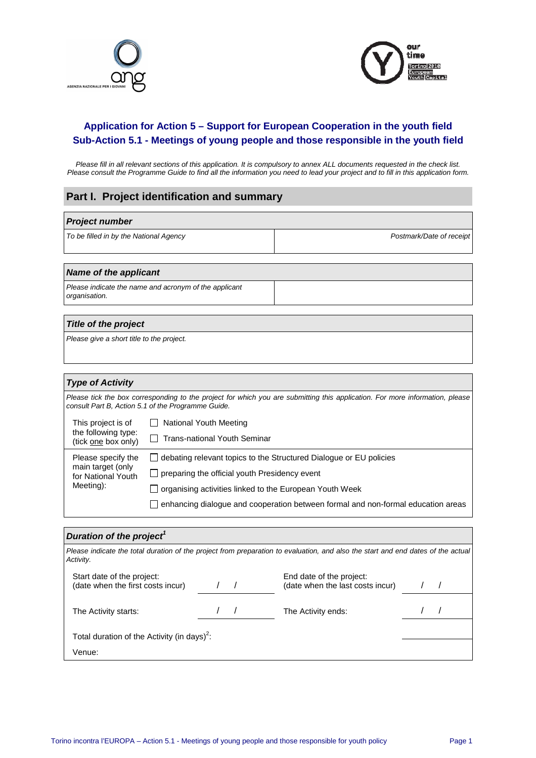



## **Application for Action 5 – Support for European Cooperation in the youth field Sub-Action 5.1 - Meetings of young people and those responsible in the youth field**

Please fill in all relevant sections of this application. It is compulsory to annex ALL documents requested in the check list. Please consult the Programme Guide to find all the information you need to lead your project and to fill in this application form.

#### **Part I. Project identification and summary**

| <b>Project number</b>                  |                          |
|----------------------------------------|--------------------------|
| To be filled in by the National Agency | Postmark/Date of receipt |

#### **Name of the applicant**

Please indicate the name and acronym of the applicant organisation.

#### **Title of the project**

Please give a short title to the project.

#### **Type of Activity**

Please tick the box corresponding to the project for which you are submitting this application. For more information, please consult Part B, Action 5.1 of the Programme Guide.

|                                                                            | This project is of<br>the following type:<br>(tick one box only)                 | □ National Youth Meeting<br>Trans-national Youth Seminar |
|----------------------------------------------------------------------------|----------------------------------------------------------------------------------|----------------------------------------------------------|
|                                                                            |                                                                                  |                                                          |
| Please specify the<br>main target (only<br>for National Youth<br>Meeting): | $\Box$ debating relevant topics to the Structured Dialogue or EU policies        |                                                          |
|                                                                            | $\Box$ preparing the official youth Presidency event                             |                                                          |
|                                                                            | $\Box$ organising activities linked to the European Youth Week                   |                                                          |
|                                                                            | enhancing dialogue and cooperation between formal and non-formal education areas |                                                          |

#### **Duration of the project<sup>1</sup>**

| Activity.                                                       | Please indicate the total duration of the project from preparation to evaluation, and also the start and end dates of the actual |  |
|-----------------------------------------------------------------|----------------------------------------------------------------------------------------------------------------------------------|--|
| Start date of the project:<br>(date when the first costs incur) | End date of the project:<br>(date when the last costs incur)                                                                     |  |
| The Activity starts:                                            | The Activity ends:                                                                                                               |  |
| Total duration of the Activity (in days) <sup>2</sup> :         |                                                                                                                                  |  |
| Venue:                                                          |                                                                                                                                  |  |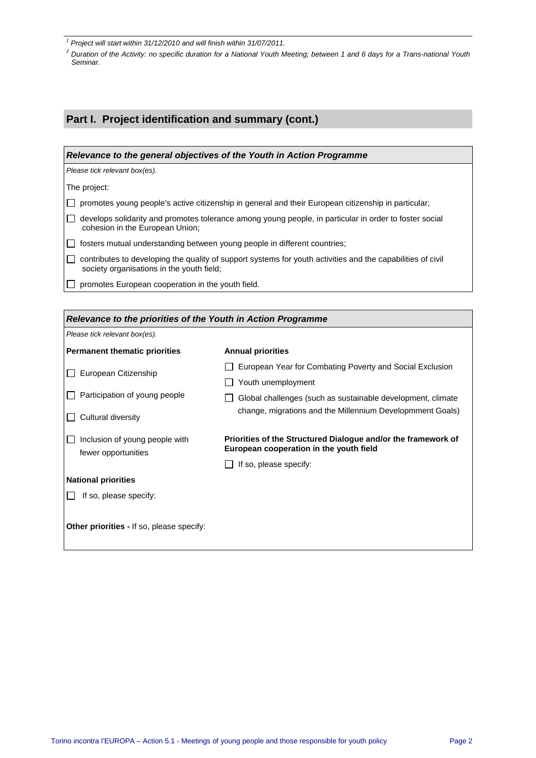fewer opportunities

 $\Box$  If so, please specify:

**Other priorities -** If so, please specify:

**National priorities** 

## **Part I. Project identification and summary (cont.)**

| Relevance to the general objectives of the Youth in Action Programme            |                                                                                                             |  |  |
|---------------------------------------------------------------------------------|-------------------------------------------------------------------------------------------------------------|--|--|
| Please tick relevant box(es).                                                   |                                                                                                             |  |  |
| The project:                                                                    |                                                                                                             |  |  |
|                                                                                 | promotes young people's active citizenship in general and their European citizenship in particular;         |  |  |
| cohesion in the European Union;                                                 | develops solidarity and promotes tolerance among young people, in particular in order to foster social      |  |  |
|                                                                                 | fosters mutual understanding between young people in different countries;                                   |  |  |
| society organisations in the youth field;                                       | contributes to developing the quality of support systems for youth activities and the capabilities of civil |  |  |
| promotes European cooperation in the youth field.                               |                                                                                                             |  |  |
|                                                                                 |                                                                                                             |  |  |
| Relevance to the priorities of the Youth in Action Programme                    |                                                                                                             |  |  |
| Please tick relevant box(es).                                                   |                                                                                                             |  |  |
| <b>Permanent thematic priorities</b>                                            | <b>Annual priorities</b>                                                                                    |  |  |
| European Citizenship                                                            | European Year for Combating Poverty and Social Exclusion                                                    |  |  |
|                                                                                 | Youth unemployment                                                                                          |  |  |
| Participation of young people                                                   | Global challenges (such as sustainable development, climate                                                 |  |  |
| change, migrations and the Millennium Developmment Goals)<br>Cultural diversity |                                                                                                             |  |  |
| Inclusion of young people with                                                  | Priorities of the Structured Dialogue and/or the framework of                                               |  |  |

 $\Box$  If so, please specify:

**European cooperation in the youth field** 

<sup>&</sup>lt;sup>1</sup> Project will start within 31/12/2010 and will finish within 31/07/2011.

<sup>&</sup>lt;sup>2</sup> Duration of the Activity: no specific duration for a National Youth Meeting; between 1 and 6 days for a Trans-national Youth Seminar.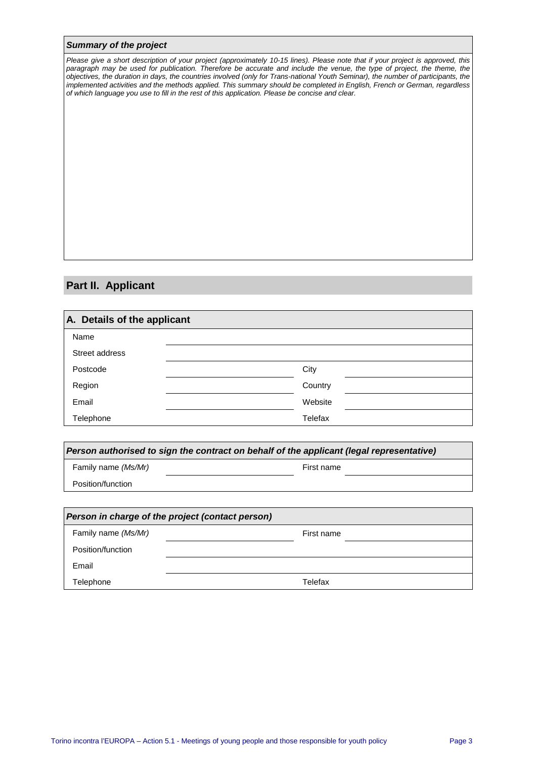#### **Summary of the project**

Please give a short description of your project (approximately 10-15 lines). Please note that if your project is approved, this paragraph may be used for publication. Therefore be accurate and include the venue, the type of project, the theme, the objectives, the duration in days, the countries involved (only for Trans-national Youth Seminar), the number of participants, the implemented activities and the methods applied. This summary should be completed in English, French or German, regardless of which language you use to fill in the rest of this application. Please be concise and clear.

## **Part II. Applicant**

| A. Details of the applicant |         |
|-----------------------------|---------|
| Name                        |         |
| Street address              |         |
| Postcode                    | City    |
| Region                      | Country |
| Email                       | Website |
| Telephone                   | Telefax |

| Person authorised to sign the contract on behalf of the applicant (legal representative) |            |  |
|------------------------------------------------------------------------------------------|------------|--|
| Family name (Ms/Mr)                                                                      | First name |  |
| Position/function                                                                        |            |  |
|                                                                                          |            |  |

| Person in charge of the project (contact person) |            |  |
|--------------------------------------------------|------------|--|
| Family name (Ms/Mr)                              | First name |  |
| Position/function                                |            |  |
| Email                                            |            |  |
| Telephone                                        | Telefax    |  |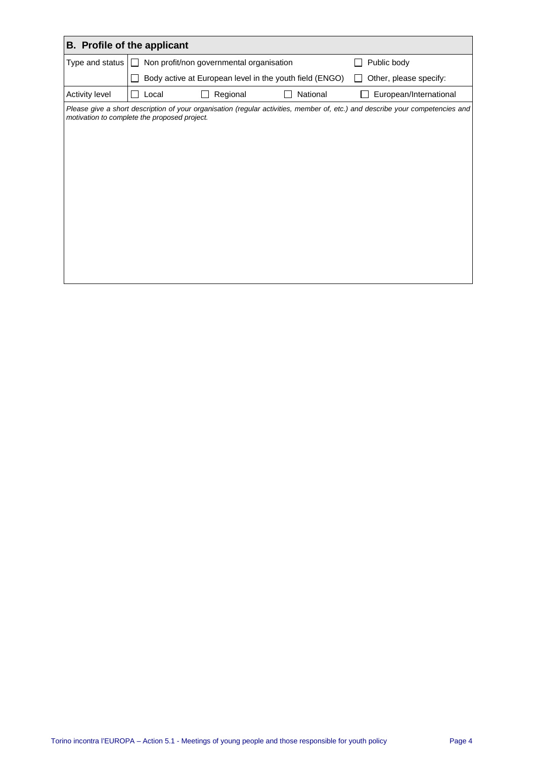| <b>B.</b> Profile of the applicant |                                                     |                                                         |                                                                                                                               |
|------------------------------------|-----------------------------------------------------|---------------------------------------------------------|-------------------------------------------------------------------------------------------------------------------------------|
| Type and status                    | Non profit/non governmental organisation<br>$\perp$ |                                                         | Public body                                                                                                                   |
|                                    |                                                     | Body active at European level in the youth field (ENGO) | Other, please specify:                                                                                                        |
| Activity level                     | Regional<br>Local                                   | National                                                | European/International                                                                                                        |
|                                    | motivation to complete the proposed project.        |                                                         | Please give a short description of your organisation (regular activities, member of, etc.) and describe your competencies and |
|                                    |                                                     |                                                         |                                                                                                                               |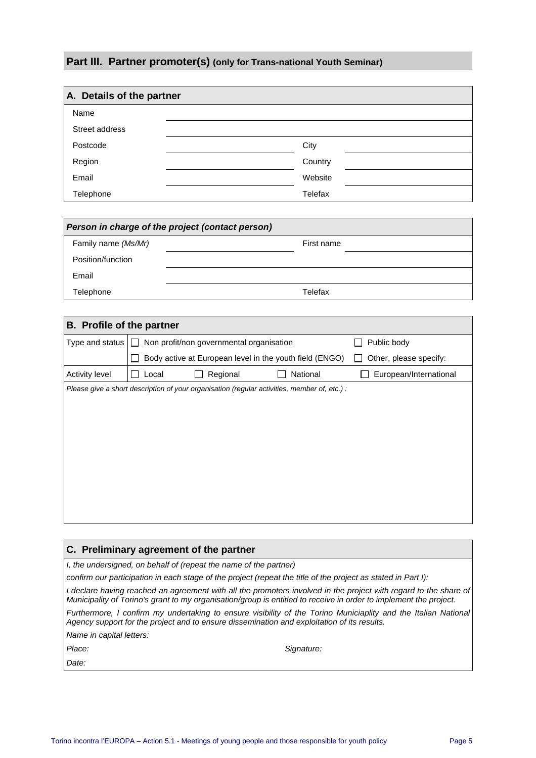## **Part III. Partner promoter(s) (only for Trans-national Youth Seminar)**

| A. Details of the partner |         |  |
|---------------------------|---------|--|
| Name                      |         |  |
| Street address            |         |  |
| Postcode                  | City    |  |
| Region                    | Country |  |
| Email                     | Website |  |
| Telephone                 | Telefax |  |

| Person in charge of the project (contact person) |            |  |
|--------------------------------------------------|------------|--|
| Family name (Ms/Mr)                              | First name |  |
| Position/function                                |            |  |
| Email                                            |            |  |
| Telephone                                        | Telefax    |  |

| <b>B.</b> Profile of the partner |                                          |          |                                                                                              |                        |
|----------------------------------|------------------------------------------|----------|----------------------------------------------------------------------------------------------|------------------------|
| Type and status $ \Box$          | Non profit/non governmental organisation |          | Public body                                                                                  |                        |
|                                  |                                          |          | Body active at European level in the youth field (ENGO)                                      | Other, please specify: |
| Activity level                   | Local                                    | Regional | National                                                                                     | European/International |
|                                  |                                          |          | Please give a short description of your organisation (regular activities, member of, etc.) : |                        |
|                                  |                                          |          |                                                                                              |                        |
|                                  |                                          |          |                                                                                              |                        |
|                                  |                                          |          |                                                                                              |                        |
|                                  |                                          |          |                                                                                              |                        |
|                                  |                                          |          |                                                                                              |                        |
|                                  |                                          |          |                                                                                              |                        |
|                                  |                                          |          |                                                                                              |                        |
|                                  |                                          |          |                                                                                              |                        |

| C. Preliminary agreement of the partner                           |                                                                                                                                                                                                                                       |  |
|-------------------------------------------------------------------|---------------------------------------------------------------------------------------------------------------------------------------------------------------------------------------------------------------------------------------|--|
| I, the undersigned, on behalf of (repeat the name of the partner) |                                                                                                                                                                                                                                       |  |
|                                                                   | confirm our participation in each stage of the project (repeat the title of the project as stated in Part I):                                                                                                                         |  |
|                                                                   | I declare having reached an agreement with all the promoters involved in the project with regard to the share of<br>Municipality of Torino's grant to my organisation/group is entitled to receive in order to implement the project. |  |
|                                                                   | Furthermore, I confirm my undertaking to ensure visibility of the Torino Municiaplity and the Italian National<br>Agency support for the project and to ensure dissemination and exploitation of its results.                         |  |
| Name in capital letters:                                          |                                                                                                                                                                                                                                       |  |
| Place:                                                            | Signature:                                                                                                                                                                                                                            |  |
| Date:                                                             |                                                                                                                                                                                                                                       |  |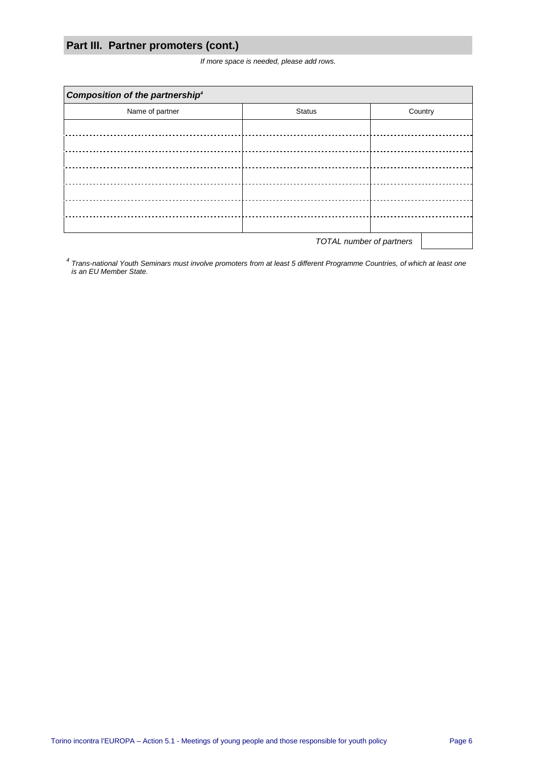## **Part III. Partner promoters (cont.)**

If more space is needed, please add rows.

| Composition of the partnership <sup>4</sup> |                               |         |  |  |  |
|---------------------------------------------|-------------------------------|---------|--|--|--|
| Name of partner                             | <b>Status</b>                 | Country |  |  |  |
|                                             |                               |         |  |  |  |
|                                             |                               |         |  |  |  |
|                                             | ----------------------------- |         |  |  |  |
|                                             |                               |         |  |  |  |
|                                             |                               |         |  |  |  |
|                                             |                               |         |  |  |  |
|                                             |                               |         |  |  |  |
| <b>TOTAL</b> number of partners             |                               |         |  |  |  |

<sup>4</sup> Trans-national Youth Seminars must involve promoters from at least 5 different Programme Countries, of which at least one is an EU Member State.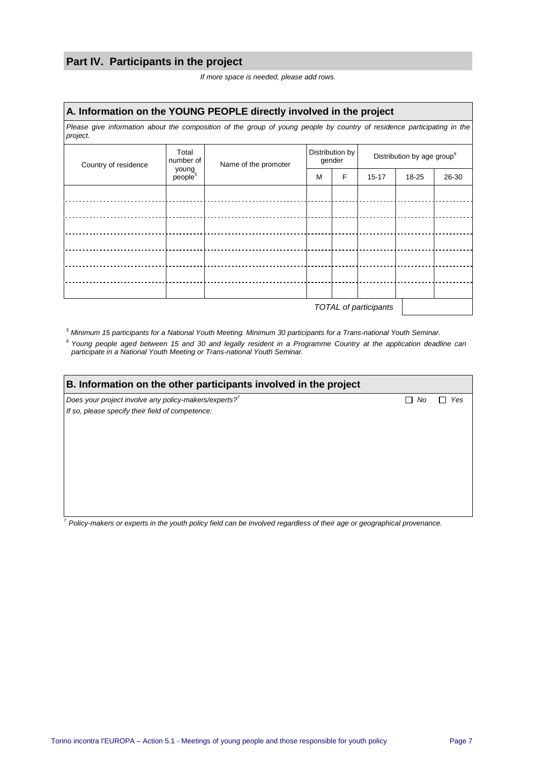## **Part IV. Participants in the project**

| If more space is needed, please add rows. |  |
|-------------------------------------------|--|
|-------------------------------------------|--|

#### **A. Information on the YOUNG PEOPLE directly involved in the project**

Please give information about the composition of the group of young people by country of residence participating in the project.

| Country of residence  | Total<br>number of           | Name of the promoter | Distribution by<br>gender |   | Distribution by age group <sup>6</sup> |       |       |
|-----------------------|------------------------------|----------------------|---------------------------|---|----------------------------------------|-------|-------|
|                       | young<br>people <sup>5</sup> |                      | M                         | F | $15 - 17$                              | 18-25 | 26-30 |
|                       |                              |                      |                           |   |                                        |       |       |
|                       |                              |                      |                           |   |                                        |       |       |
|                       |                              |                      |                           |   |                                        |       |       |
|                       |                              |                      |                           |   |                                        |       |       |
|                       |                              |                      |                           |   |                                        |       |       |
|                       |                              |                      |                           |   |                                        |       |       |
|                       |                              |                      |                           |   |                                        |       |       |
| TOTAL of participants |                              |                      |                           |   |                                        |       |       |

5 Minimum 15 participants for a National Youth Meeting. Minimum 30 participants for a Trans-national Youth Seminar.

 $6$  Young people aged between 15 and 30 and legally resident in a Programme Country at the application deadline can participate in a National Youth Meeting or Trans-national Youth Seminar.

| B. Information on the other participants involved in the project |    |     |  |  |
|------------------------------------------------------------------|----|-----|--|--|
| Does your project involve any policy-makers/experts?             | No | Yes |  |  |
| If so, please specify their field of competence:                 |    |     |  |  |
|                                                                  |    |     |  |  |
|                                                                  |    |     |  |  |
|                                                                  |    |     |  |  |
|                                                                  |    |     |  |  |
|                                                                  |    |     |  |  |
|                                                                  |    |     |  |  |
|                                                                  |    |     |  |  |
|                                                                  |    |     |  |  |

 $7$  Policy-makers or experts in the youth policy field can be involved regardless of their age or geographical provenance.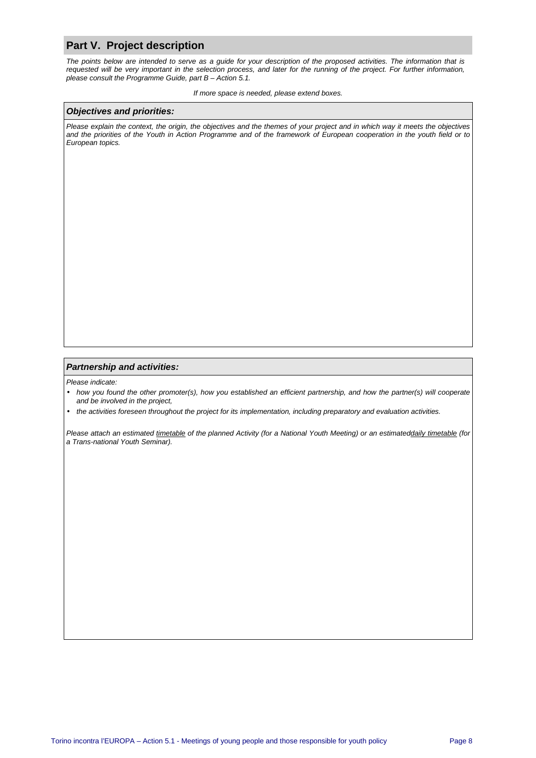#### **Part V. Project description**

The points below are intended to serve as a guide for your description of the proposed activities. The information that is requested will be very important in the selection process, and later for the running of the project. For further information, please consult the Programme Guide, part B – Action 5.1.

#### If more space is needed, please extend boxes.

#### **Objectives and priorities:**

Please explain the context, the origin, the objectives and the themes of your project and in which way it meets the objectives and the priorities of the Youth in Action Programme and of the framework of European cooperation in the youth field or to European topics.

#### **Partnership and activities:**

Please indicate:

- how you found the other promoter(s), how you established an efficient partnership, and how the partner(s) will cooperate and be involved in the project,
- the activities foreseen throughout the project for its implementation, including preparatory and evaluation activities.

Please attach an estimated timetable of the planned Activity (for a National Youth Meeting) or an estimateddaily timetable (for a Trans-national Youth Seminar).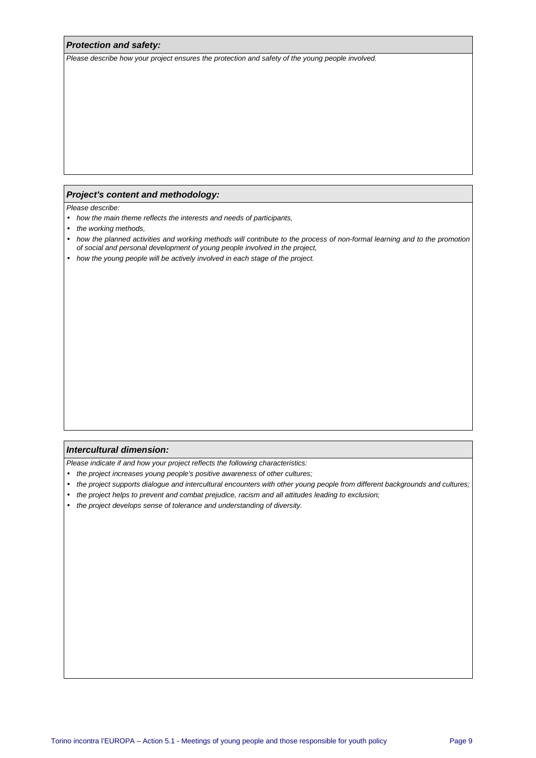#### **Protection and safety:**

Please describe how your project ensures the protection and safety of the young people involved.

#### **Project's content and methodology:**

Please describe:

- how the main theme reflects the interests and needs of participants,
- the working methods,
- how the planned activities and working methods will contribute to the process of non-formal learning and to the promotion of social and personal development of young people involved in the project,
- how the young people will be actively involved in each stage of the project.

#### **Intercultural dimension:**

Please indicate if and how your project reflects the following characteristics:

- the project increases young people's positive awareness of other cultures;
- the project supports dialogue and intercultural encounters with other young people from different backgrounds and cultures;
- the project helps to prevent and combat prejudice, racism and all attitudes leading to exclusion;
- the project develops sense of tolerance and understanding of diversity.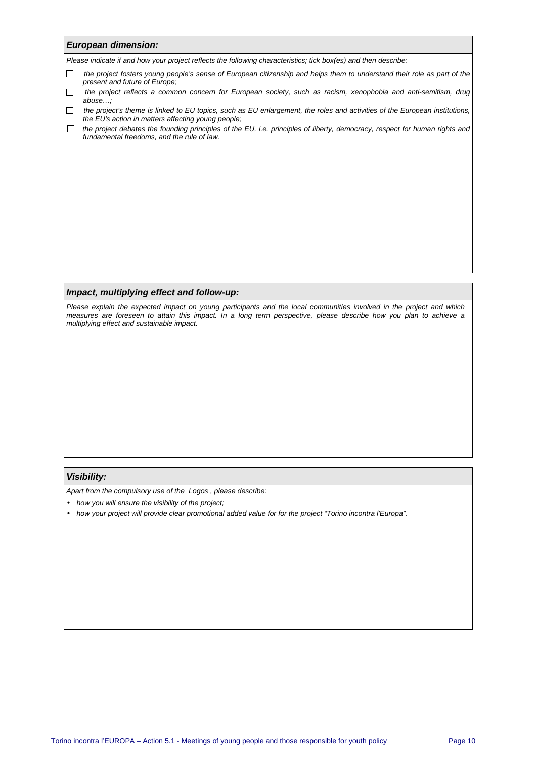#### **European dimension:**

Please indicate if and how your project reflects the following characteristics; tick box(es) and then describe:

- the project fosters young people's sense of European citizenship and helps them to understand their role as part of the present and future of Europe;
- the project reflects a common concern for European society, such as racism, xenophobia and anti-semitism, drug abuse…;
- $\Box$  the project's theme is linked to EU topics, such as EU enlargement, the roles and activities of the European institutions, the EU's action in matters affecting young people;
- $\Box$  the project debates the founding principles of the EU, i.e. principles of liberty, democracy, respect for human rights and fundamental freedoms, and the rule of law.

#### **Impact, multiplying effect and follow-up:**

Please explain the expected impact on young participants and the local communities involved in the project and which measures are foreseen to attain this impact. In a long term perspective, please describe how you plan to achieve a multiplying effect and sustainable impact.

#### **Visibility:**

Apart from the compulsory use of the Logos , please describe:

- how you will ensure the visibility of the project:
- how your project will provide clear promotional added value for for the project "Torino incontra l'Europa".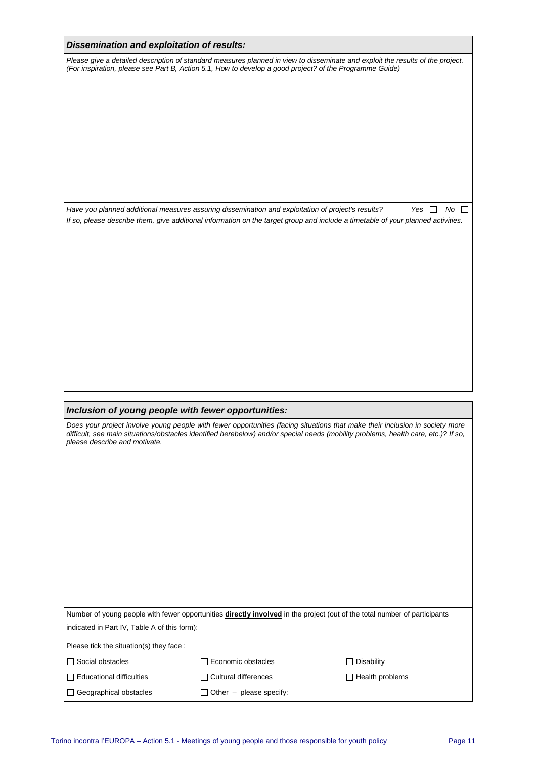#### **Dissemination and exploitation of results:**

Please give a detailed description of standard measures planned in view to disseminate and exploit the results of the project. (For inspiration, please see Part B, Action 5.1, How to develop a good project? of the Programme Guide)

Have you planned additional measures assuring dissemination and exploitation of project's results? Yes  $\Box$  No  $\Box$ If so, please describe them, give additional information on the target group and include a timetable of your planned activities.

#### **Inclusion of young people with fewer opportunities:**

| please describe and motivate.                | Does your project involve young people with fewer opportunities (facing situations that make their inclusion in society more<br>difficult, see main situations/obstacles identified herebelow) and/or special needs (mobility problems, health care, etc.)? If so, |                        |
|----------------------------------------------|--------------------------------------------------------------------------------------------------------------------------------------------------------------------------------------------------------------------------------------------------------------------|------------------------|
|                                              |                                                                                                                                                                                                                                                                    |                        |
|                                              |                                                                                                                                                                                                                                                                    |                        |
|                                              |                                                                                                                                                                                                                                                                    |                        |
|                                              | Number of young people with fewer opportunities directly involved in the project (out of the total number of participants                                                                                                                                          |                        |
| indicated in Part IV, Table A of this form): |                                                                                                                                                                                                                                                                    |                        |
| Please tick the situation(s) they face :     |                                                                                                                                                                                                                                                                    |                        |
| $\Box$ Social obstacles                      | Economic obstacles                                                                                                                                                                                                                                                 | $\Box$ Disability      |
| $\Box$ Educational difficulties              | $\Box$ Cultural differences                                                                                                                                                                                                                                        | $\Box$ Health problems |
| $\Box$ Geographical obstacles                | $\Box$ Other – please specify:                                                                                                                                                                                                                                     |                        |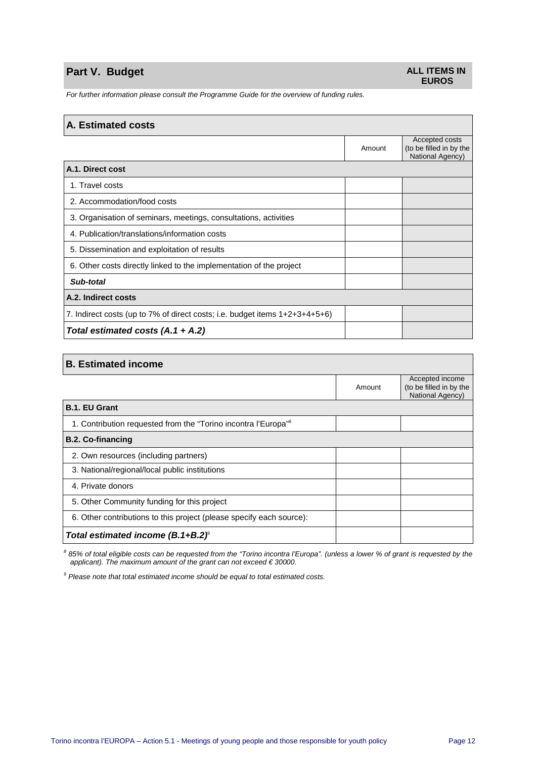## **Part V. Budget** <br> **Part V. Budget ALL ITEMS IN**

# **EUROS**

For further information please consult the Programme Guide for the overview of funding rules.

#### **A. Estimated costs**

|                                                                             | Amount | Accepted costs<br>(to be filled in by the<br>National Agency) |
|-----------------------------------------------------------------------------|--------|---------------------------------------------------------------|
| A.1. Direct cost                                                            |        |                                                               |
| 1. Travel costs                                                             |        |                                                               |
| 2. Accommodation/food costs                                                 |        |                                                               |
| 3. Organisation of seminars, meetings, consultations, activities            |        |                                                               |
| 4. Publication/translations/information costs                               |        |                                                               |
| 5. Dissemination and exploitation of results                                |        |                                                               |
| 6. Other costs directly linked to the implementation of the project         |        |                                                               |
| Sub-total                                                                   |        |                                                               |
| A.2. Indirect costs                                                         |        |                                                               |
| 7. Indirect costs (up to 7% of direct costs; i.e. budget items 1+2+3+4+5+6) |        |                                                               |
| Total estimated costs $(A.1 + A.2)$                                         |        |                                                               |

| <b>B.</b> Estimated income                                                 |        |                                                                |
|----------------------------------------------------------------------------|--------|----------------------------------------------------------------|
|                                                                            | Amount | Accepted income<br>(to be filled in by the<br>National Agency) |
| <b>B.1. EU Grant</b>                                                       |        |                                                                |
| 1. Contribution requested from the "Torino incontra l'Europa" <sup>8</sup> |        |                                                                |
| <b>B.2. Co-financing</b>                                                   |        |                                                                |
| 2. Own resources (including partners)                                      |        |                                                                |
| 3. National/regional/local public institutions                             |        |                                                                |
| 4. Private donors                                                          |        |                                                                |
| 5. Other Community funding for this project                                |        |                                                                |
| 6. Other contributions to this project (please specify each source):       |        |                                                                |
| Total estimated income $(B.1 + B.2)^{\circ}$                               |        |                                                                |

85% of total eligible costs can be requested from the "Torino incontra l'Europa". (unless a lower % of grant is requested by the applicant). The maximum amount of the grant can not exceed € 30000.

 $9$  Please note that total estimated income should be equal to total estimated costs.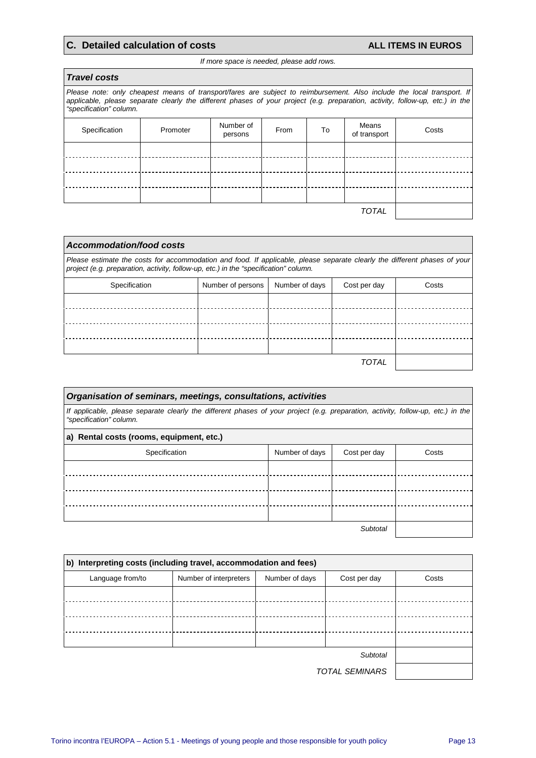## **C. Detailed calculation of costs ALL ITEMS IN EUROS**

┑

#### If more space is needed, please add rows.

| <b>Travel costs</b>                                                                                                                                                                                                                                                                |          |                      |      |    |                       |       |
|------------------------------------------------------------------------------------------------------------------------------------------------------------------------------------------------------------------------------------------------------------------------------------|----------|----------------------|------|----|-----------------------|-------|
| Please note: only cheapest means of transport/fares are subject to reimbursement. Also include the local transport. If<br>applicable, please separate clearly the different phases of your project (e.g. preparation, activity, follow-up, etc.) in the<br>"specification" column. |          |                      |      |    |                       |       |
| Specification                                                                                                                                                                                                                                                                      | Promoter | Number of<br>persons | From | To | Means<br>of transport | Costs |
|                                                                                                                                                                                                                                                                                    |          |                      |      |    |                       |       |
|                                                                                                                                                                                                                                                                                    |          |                      |      |    |                       |       |
|                                                                                                                                                                                                                                                                                    |          |                      |      |    |                       |       |
|                                                                                                                                                                                                                                                                                    |          |                      |      |    |                       |       |
|                                                                                                                                                                                                                                                                                    |          |                      |      |    | TOTAL                 |       |

| Accommodation/food costs                                                                                                                                                                                          |                   |                |              |       |  |
|-------------------------------------------------------------------------------------------------------------------------------------------------------------------------------------------------------------------|-------------------|----------------|--------------|-------|--|
| Please estimate the costs for accommodation and food. If applicable, please separate clearly the different phases of your<br>project (e.g. preparation, activity, follow-up, etc.) in the "specification" column. |                   |                |              |       |  |
| Specification                                                                                                                                                                                                     | Number of persons | Number of days | Cost per day | Costs |  |
|                                                                                                                                                                                                                   |                   |                |              |       |  |
|                                                                                                                                                                                                                   |                   |                |              |       |  |
|                                                                                                                                                                                                                   |                   |                |              |       |  |
|                                                                                                                                                                                                                   |                   |                |              |       |  |
|                                                                                                                                                                                                                   |                   |                | TOTAL        |       |  |

| Organisation of seminars, meetings, consultations, activities                                                                                               |                |              |       |  |  |  |
|-------------------------------------------------------------------------------------------------------------------------------------------------------------|----------------|--------------|-------|--|--|--|
| If applicable, please separate clearly the different phases of your project (e.g. preparation, activity, follow-up, etc.) in the<br>"specification" column. |                |              |       |  |  |  |
| a) Rental costs (rooms, equipment, etc.)                                                                                                                    |                |              |       |  |  |  |
| Specification                                                                                                                                               | Number of days | Cost per day | Costs |  |  |  |
|                                                                                                                                                             |                |              |       |  |  |  |
|                                                                                                                                                             |                |              |       |  |  |  |
|                                                                                                                                                             |                |              |       |  |  |  |
|                                                                                                                                                             |                |              |       |  |  |  |
| Subtotal                                                                                                                                                    |                |              |       |  |  |  |

| b) Interpreting costs (including travel, accommodation and fees) |                        |                |              |       |  |  |
|------------------------------------------------------------------|------------------------|----------------|--------------|-------|--|--|
| Language from/to                                                 | Number of interpreters | Number of days | Cost per day | Costs |  |  |
|                                                                  |                        |                |              |       |  |  |
|                                                                  |                        |                |              |       |  |  |
|                                                                  |                        |                |              |       |  |  |
|                                                                  |                        |                |              |       |  |  |
|                                                                  |                        |                |              |       |  |  |
|                                                                  |                        |                |              |       |  |  |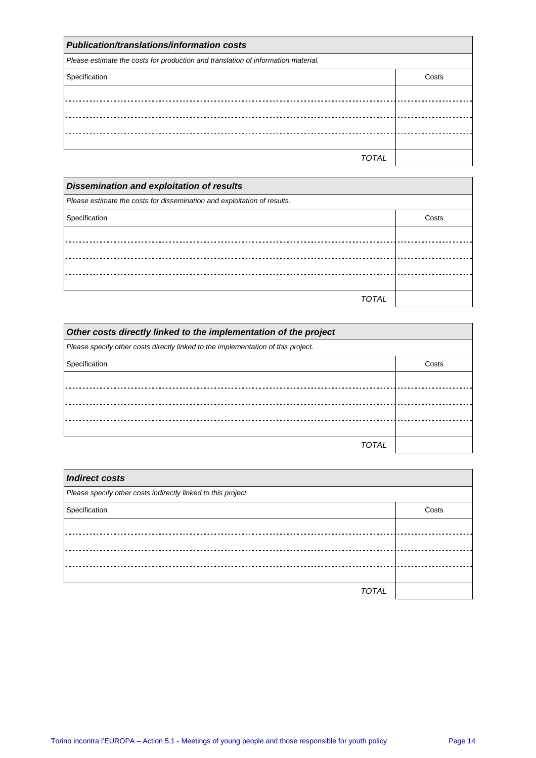| <b>Publication/translations/information costs</b>                                 |       |  |  |
|-----------------------------------------------------------------------------------|-------|--|--|
| Please estimate the costs for production and translation of information material. |       |  |  |
| Specification                                                                     | Costs |  |  |
|                                                                                   |       |  |  |
|                                                                                   |       |  |  |
|                                                                                   |       |  |  |
|                                                                                   |       |  |  |
| TOTAL                                                                             |       |  |  |

| <b>Dissemination and exploitation of results</b>                         |       |  |  |  |
|--------------------------------------------------------------------------|-------|--|--|--|
| Please estimate the costs for dissemination and exploitation of results. |       |  |  |  |
| Specification                                                            | Costs |  |  |  |
|                                                                          |       |  |  |  |
|                                                                          |       |  |  |  |
|                                                                          |       |  |  |  |
|                                                                          |       |  |  |  |
| TOTAI                                                                    |       |  |  |  |

| Other costs directly linked to the implementation of the project                  |       |  |  |  |
|-----------------------------------------------------------------------------------|-------|--|--|--|
| Please specify other costs directly linked to the implementation of this project. |       |  |  |  |
| Specification                                                                     | Costs |  |  |  |
|                                                                                   |       |  |  |  |
|                                                                                   |       |  |  |  |
|                                                                                   |       |  |  |  |
|                                                                                   |       |  |  |  |
| TOTAL                                                                             |       |  |  |  |

| <b>Indirect costs</b>                                         |       |  |  |
|---------------------------------------------------------------|-------|--|--|
| Please specify other costs indirectly linked to this project. |       |  |  |
| Specification                                                 | Costs |  |  |
|                                                               |       |  |  |
|                                                               |       |  |  |
|                                                               |       |  |  |
|                                                               |       |  |  |
| <b>TOTAL</b>                                                  |       |  |  |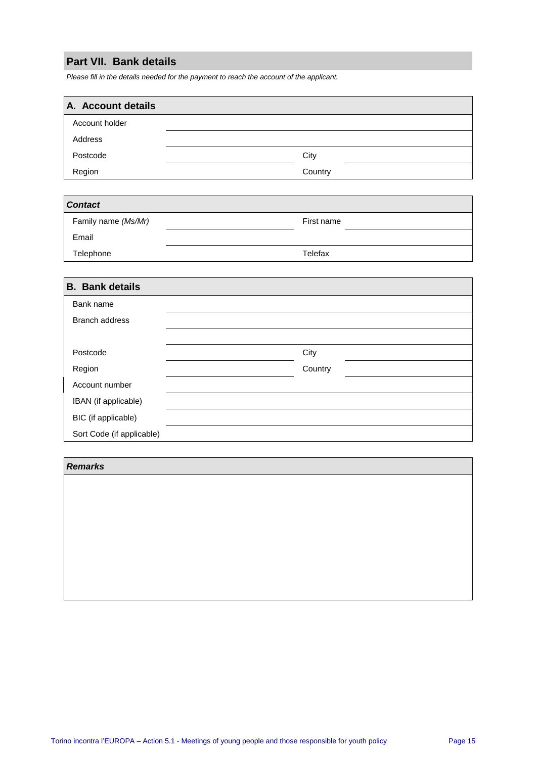## **Part VII. Bank details**

Please fill in the details needed for the payment to reach the account of the applicant.

| A. Account details |         |
|--------------------|---------|
| Account holder     |         |
| Address            |         |
| Postcode           | City    |
| Region             | Country |

| <b>Contact</b>      |            |  |  |  |
|---------------------|------------|--|--|--|
| Family name (Ms/Mr) | First name |  |  |  |
| Email               |            |  |  |  |
| Telephone           | Telefax    |  |  |  |

| <b>B.</b> Bank details    |         |
|---------------------------|---------|
| Bank name                 |         |
| <b>Branch address</b>     |         |
|                           |         |
| Postcode                  | City    |
| Region                    | Country |
| Account number            |         |
| IBAN (if applicable)      |         |
| BIC (if applicable)       |         |
| Sort Code (if applicable) |         |

#### **Remarks**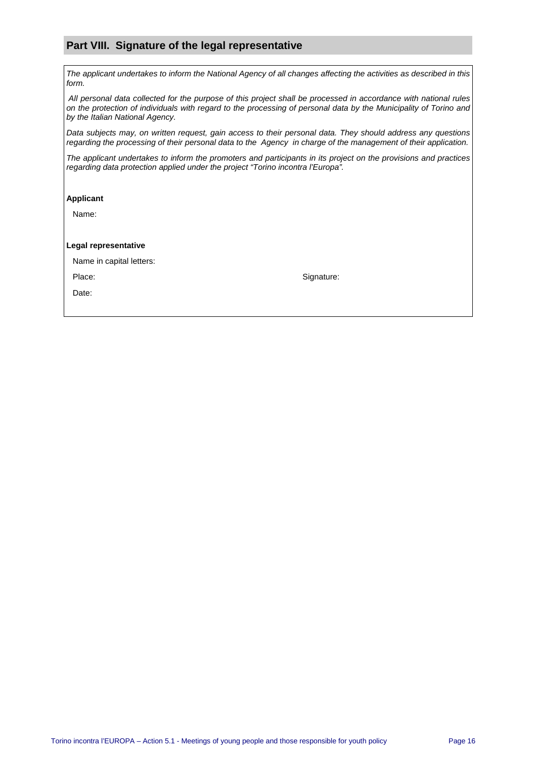#### **Part VIII. Signature of the legal representative**

The applicant undertakes to inform the National Agency of all changes affecting the activities as described in this form.

 All personal data collected for the purpose of this project shall be processed in accordance with national rules on the protection of individuals with regard to the processing of personal data by the Municipality of Torino and by the Italian National Agency.

Data subjects may, on written request, gain access to their personal data. They should address any questions regarding the processing of their personal data to the Agency in charge of the management of their application.

The applicant undertakes to inform the promoters and participants in its project on the provisions and practices regarding data protection applied under the project "Torino incontra l'Europa".

#### **Applicant**

Name:

#### **Legal representative**

|  | Name in capital letters: |
|--|--------------------------|
|  |                          |

Place: Signature: Signature: Signature: Signature: Signature: Signature: Signature: Signature: Signature: Signature: Signature: Signature: Signature: Signature: Signature: Signature: Signature: Signature: Signature: Signat

Date: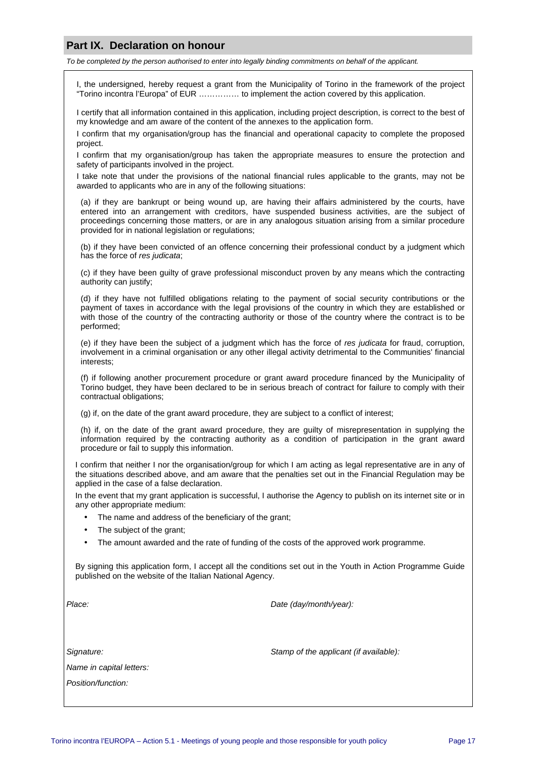#### **Part IX. Declaration on honour**

To be completed by the person authorised to enter into legally binding commitments on behalf of the applicant.

I, the undersigned, hereby request a grant from the Municipality of Torino in the framework of the project "Torino incontra l'Europa" of EUR …………… to implement the action covered by this application.

I certify that all information contained in this application, including project description, is correct to the best of my knowledge and am aware of the content of the annexes to the application form.

I confirm that my organisation/group has the financial and operational capacity to complete the proposed project.

I confirm that my organisation/group has taken the appropriate measures to ensure the protection and safety of participants involved in the project.

I take note that under the provisions of the national financial rules applicable to the grants, may not be awarded to applicants who are in any of the following situations:

(a) if they are bankrupt or being wound up, are having their affairs administered by the courts, have entered into an arrangement with creditors, have suspended business activities, are the subject of proceedings concerning those matters, or are in any analogous situation arising from a similar procedure provided for in national legislation or regulations;

(b) if they have been convicted of an offence concerning their professional conduct by a judgment which has the force of res *judicata*:

(c) if they have been guilty of grave professional misconduct proven by any means which the contracting authority can justify;

(d) if they have not fulfilled obligations relating to the payment of social security contributions or the payment of taxes in accordance with the legal provisions of the country in which they are established or with those of the country of the contracting authority or those of the country where the contract is to be performed;

(e) if they have been the subject of a judgment which has the force of res judicata for fraud, corruption, involvement in a criminal organisation or any other illegal activity detrimental to the Communities' financial interests;

(f) if following another procurement procedure or grant award procedure financed by the Municipality of Torino budget, they have been declared to be in serious breach of contract for failure to comply with their contractual obligations;

(g) if, on the date of the grant award procedure, they are subject to a conflict of interest;

(h) if, on the date of the grant award procedure, they are guilty of misrepresentation in supplying the information required by the contracting authority as a condition of participation in the grant award procedure or fail to supply this information.

I confirm that neither I nor the organisation/group for which I am acting as legal representative are in any of the situations described above, and am aware that the penalties set out in the Financial Regulation may be applied in the case of a false declaration.

In the event that my grant application is successful, I authorise the Agency to publish on its internet site or in any other appropriate medium:

- The name and address of the beneficiary of the grant;
- The subject of the grant;
- The amount awarded and the rate of funding of the costs of the approved work programme.

By signing this application form, I accept all the conditions set out in the Youth in Action Programme Guide published on the website of the Italian National Agency.

Place: Place: Place: Place: Place: Place: Date (day/month/year):

Signature: Signature: Stamp of the applicant (if available):

Name in capital letters:

Position/function: